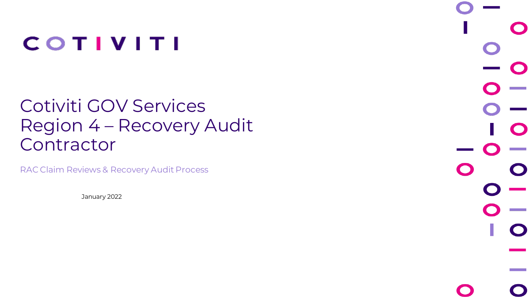## **COTIVITI**

### Cotiviti GOV Services Region 4 – Recovery Audit Contractor

RAC Claim Reviews & Recovery Audit Process

January 2022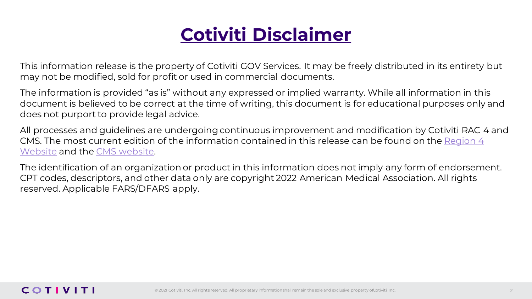## **Cotiviti Disclaimer**

This information release is the property of Cotiviti GOV Services. It may be freely distributed in its entirety but may not be modified, sold for profit or used in commercial documents.

The information is provided "as is" without any expressed or implied warranty. While all information in this document is believed to be correct at the time of writing, this document is for educational purposes only and does not purport to provide legal advice.

All processes and guidelines are undergoing continuous improvement and modification by Cotiviti RAC 4 and [CMS. The most current edition of the information contained in this release can be found on the Region 4](https://racinfo.hms.com/home.aspx)  Website and the [CMS website.](https://www.cms.gov/)

The identification of an organization or product in this information does not imply any form of endorsement. CPT codes, descriptors, and other data only are copyright 2022 American Medical Association. All rights reserved. Applicable FARS/DFARS apply.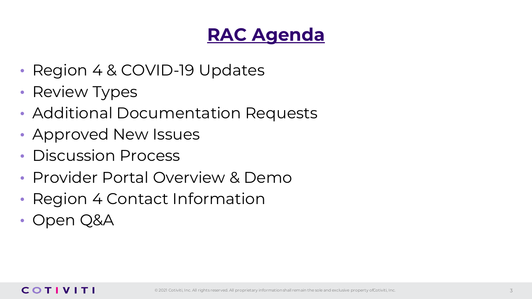### **RAC Agenda**

- Region 4 & COVID-19 Updates
- Review Types
- Additional Documentation Requests
- Approved New Issues
- Discussion Process
- Provider Portal Overview & Demo
- Region 4 Contact Information
- Open Q&A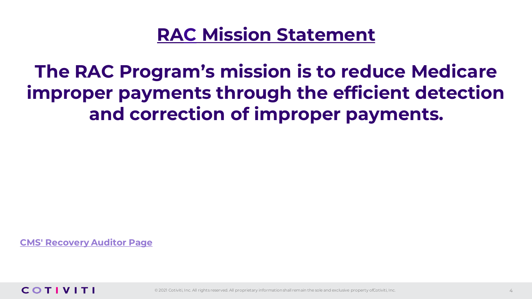### **RAC Mission Statement**

**The RAC Program's mission is to reduce Medicare improper payments through the efficient detection and correction of improper payments.**

**[CMS' Recovery Auditor Page](https://www.cms.gov/research-statistics-data-and-systems/monitoring-programs/medicare-ffs-compliance-programs/recovery-audit-program)**

#### **COTIVITI**

© 2021 Cotiviti, Inc. All rights reserved. All proprietary information shall remain the sole and exclusive property ofCotiviti, Inc.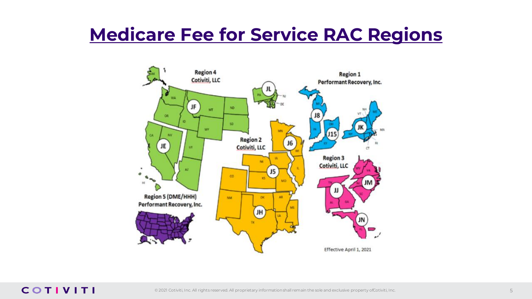### **Medicare Fee for Service RAC Regions**

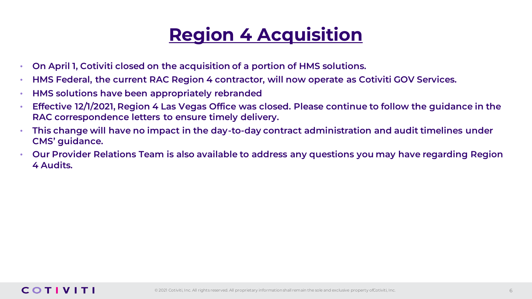### **Region 4 Acquisition**

- **On April 1, Cotiviti closed on the acquisition of a portion of HMS solutions.**
- **HMS Federal, the current RAC Region 4 contractor, will now operate as Cotiviti GOV Services.**
- **HMS solutions have been appropriately rebranded**
- **Effective 12/1/2021, Region 4 Las Vegas Office was closed. Please continue to follow the guidance in the RAC correspondence letters to ensure timely delivery.**
- **This change will have no impact in the day-to-day contract administration and audit timelines under CMS' guidance.**
- **Our Provider Relations Team is also available to address any questions you may have regarding Region 4 Audits.**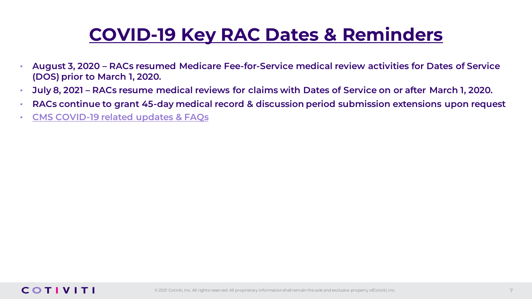### **COVID-19 Key RAC Dates & Reminders**

- **August 3, 2020 – RACs resumed Medicare Fee-for-Service medical review activities for Dates of Service (DOS) prior to March 1, 2020.**
- **July 8, 2021 – RACs resume medical reviews for claims with Dates of Service on or after March 1, 2020.**
- **RACs continue to grant 45-day medical record & discussion period submission extensions upon request**
- **[CMS COVID-19 related updates & FAQs](https://www.cms.gov/CCIIO/Resources/Fact-Sheets-and-FAQs)**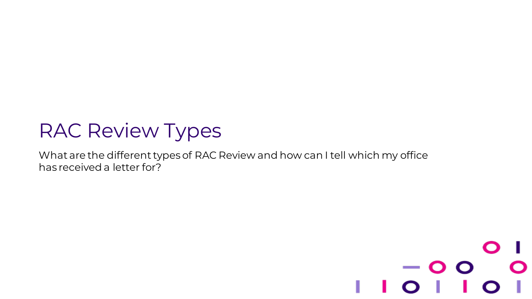## RAC Review Types

What are the different types of RAC Review and how can I tell which my office has received a letter for?

# $-$  O O © 2021 Cotiviti, Inc. All rights reserved. All proprietary information shall remain the sole and exclusive property of Cotiviti, Inc.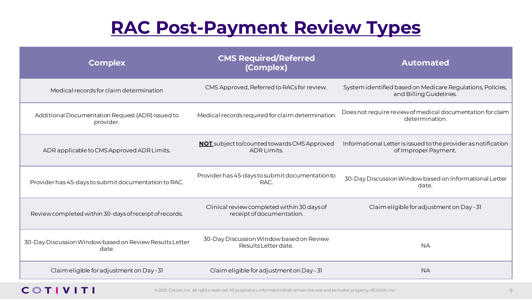### **RAC Post-Payment Review Types**

| <b>Complex</b>                                                   | <b>CMS Required/Referred</b><br>(Complex)                                | <b>Automated</b>                                                                       |  |  |
|------------------------------------------------------------------|--------------------------------------------------------------------------|----------------------------------------------------------------------------------------|--|--|
| Medical records for claim determination                          | CMS Approved, Referred to RACs for review.                               | System identified based on Medicare Regulations, Policies,<br>and Billing Guidelines.  |  |  |
| Additional Documentation Request (ADR) issued to<br>provider.    | Medical records required for claim determination.                        | Does not require review of medical documentation for claim<br>determination.           |  |  |
| ADR applicable to CMS Approved ADR Limits.                       | <b>NOT</b> subject to/counted towards CMS Approved<br><b>ADR Limits.</b> | Informational Letter is issued to the provider as notification<br>of Improper Payment. |  |  |
| Provider has 45-days to submit documentation to RAC.             | Provider has 45-days to submit documentation to<br>RAC.                  | 30-Day Discussion Window based on Informational Letter<br>date.                        |  |  |
| Review completed within 30-days of receipt of records.           | Clinical review completed within 30 days of<br>receipt of documentation. | Claim eligible for adjustment on Day - 31                                              |  |  |
| 30-Day Discussion Window based on Review Results Letter<br>date. | 30-Day Discussion Window based on Review<br>Results Letter date.         | <b>NA</b>                                                                              |  |  |
| Claim eligible for adjustment on Day - 31                        | Claim eligible for adjustment on Day - 31                                | <b>NA</b>                                                                              |  |  |

#### **COTIVITI**

© 2021 Cotiviti, Inc. All rights reserved. All proprietary information shall remain the sole and exclusive property of Cotiviti, Inc.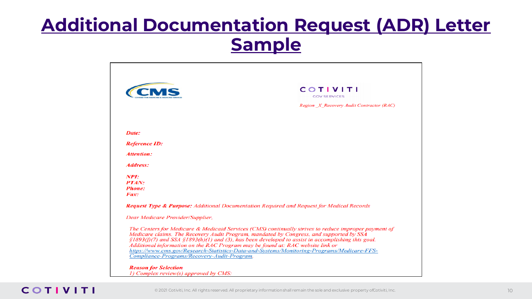### **Additional Documentation Request (ADR) Letter Sample**



#### COTIVITI

© 2021 Cotiviti, Inc. All rights reserved. All proprietary information shall remain the sole and exclusive property of Cotiviti, Inc.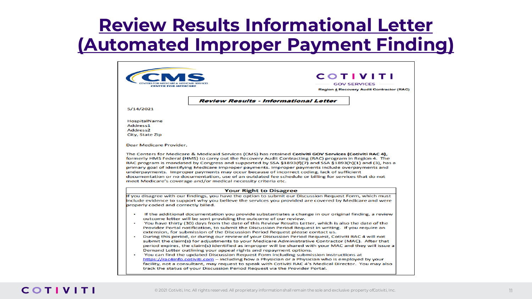### **Review Results Informational Letter (Automated Improper Payment Finding)**

| <b>CENTER FOR MEDICARE</b>                |                                                                                                                                                                                                                                                                                                                                                                                                                                                                                                                                                                                 | <b>COTIVITI</b><br><b>GOV SERVICES</b><br><b>Region 4 Recovery Audit Contractor (RAC)</b> |
|-------------------------------------------|---------------------------------------------------------------------------------------------------------------------------------------------------------------------------------------------------------------------------------------------------------------------------------------------------------------------------------------------------------------------------------------------------------------------------------------------------------------------------------------------------------------------------------------------------------------------------------|-------------------------------------------------------------------------------------------|
|                                           | <b>Review Results - Informational Letter</b>                                                                                                                                                                                                                                                                                                                                                                                                                                                                                                                                    |                                                                                           |
| 5/14/2021                                 |                                                                                                                                                                                                                                                                                                                                                                                                                                                                                                                                                                                 |                                                                                           |
| HospitalName                              |                                                                                                                                                                                                                                                                                                                                                                                                                                                                                                                                                                                 |                                                                                           |
| Address1                                  |                                                                                                                                                                                                                                                                                                                                                                                                                                                                                                                                                                                 |                                                                                           |
| Address <sub>2</sub>                      |                                                                                                                                                                                                                                                                                                                                                                                                                                                                                                                                                                                 |                                                                                           |
| City, State Zip                           |                                                                                                                                                                                                                                                                                                                                                                                                                                                                                                                                                                                 |                                                                                           |
| Dear Medicare Provider,                   |                                                                                                                                                                                                                                                                                                                                                                                                                                                                                                                                                                                 |                                                                                           |
|                                           | The Centers for Medicare & Medicaid Services (CMS) has retained Cotiviti GOV Services (Cotiviti RAC 4).<br>formerly HMS Federal (HMS) to carry out the Recovery Audit Contracting (RAC) program in Region 4. The<br>RAC program is mandated by Congress and supported by SSA §1893(f)(7) and SSA §1893(h)(1) and (3), has a<br>primary goal of identifying Medicare improper payments. Improper payments include overpayments and<br>underpayments. Improper payments may occur because of incorrect coding, lack of sufficient                                                 |                                                                                           |
|                                           | documentation or no documentation, use of an outdated fee schedule or billing for services that do not<br>meet Medicare's coverage and/or medical necessity criteria etc.                                                                                                                                                                                                                                                                                                                                                                                                       |                                                                                           |
|                                           | <b>Your Right to Disagree</b>                                                                                                                                                                                                                                                                                                                                                                                                                                                                                                                                                   |                                                                                           |
|                                           | If you disagree with our findings, you have the option to submit our Discussion Request Form, which must                                                                                                                                                                                                                                                                                                                                                                                                                                                                        |                                                                                           |
|                                           | include evidence to support why you believe the services you provided are covered by Medicare and were                                                                                                                                                                                                                                                                                                                                                                                                                                                                          |                                                                                           |
| properly coded and correctly billed.<br>٠ | If the additional documentation you provide substantiates a change in our original finding, a review<br>outcome letter will be sent providing the outcome of our review.<br>You have thirty (30) days from the date of this Review Results Letter, which is also the date of the<br>Provider Portal notification, to submit the Discussion Period Request in writing. If you require an<br>extension, for submission of the Discussion Period Request please contact us.<br>During this period, or during our review of your Discussion Period Request, Cotiviti RAC 4 will not |                                                                                           |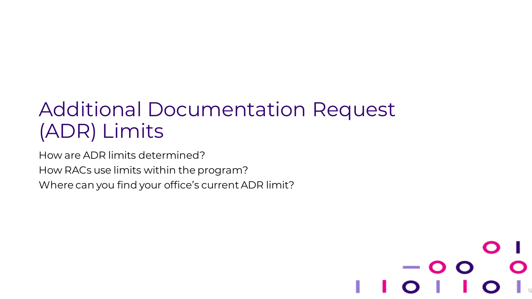## Additional Documentation Request (ADR) Limits

© 2021 Cotiviti, Inc. All rights reserved. All proprietary information shall remain the sole and exclusive property of Cotiviti, Inc.

12

How are ADR limits determined?

How RACs use limits within the program?

Where can you find your office's current ADR limit?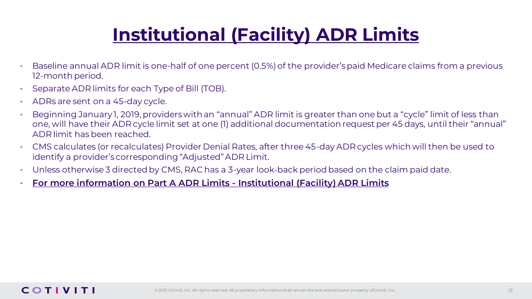## **Institutional (Facility) ADR Limits**

- Baseline annual ADR limit is one-half of one percent (0.5%) of the provider's paid Medicare claims from a previous 12-month period.
- Separate ADR limits for each Type of Bill (TOB).
- ADRs are sent on a 45-day cycle.
- Beginning January 1, 2019, providers with an "annual" ADR limit is greater than one but a "cycle" limit of less than one, will have their ADR cycle limit set at one (1) additional documentation request per 45 days, until their "annual" ADR limit has been reached.
- CMS calculates (or recalculates) Provider Denial Rates, after three 45-day ADR cycles which will then be used to identify a provider's corresponding "Adjusted" ADR Limit.
- Unless otherwise 3 directed by CMS, RAC has a 3-year look-back period based on the claim paid date.
- **[For more information on Part A ADR Limits -](https://www.cms.gov/Research-Statistics-Data-and-Systems/Monitoring-Programs/Medicare-FFS-Compliance-Programs/Recovery-Audit-Program/Downloads/ADR-Limits-Institutional-Provider.pdf) Institutional (Facility) ADR Limits**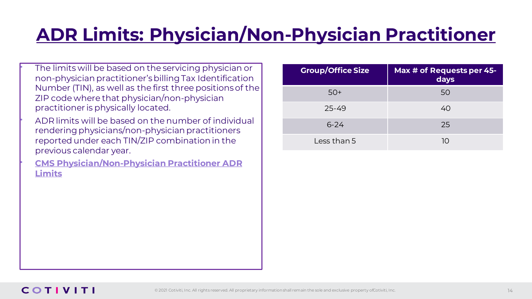## **ADR Limits: Physician/Non-Physician Practitioner**

The limits will be based on the servicing physician or non-physician practitioner's billing Tax Identification Number (TIN), as well as the first three positions of the ZIP code where that physician/non-physician practitioner is physically located.

• ADR limits will be based on the number of individual rendering physicians/non-physician practitioners reported under each TIN/ZIP combination in the previous calendar year.

• **[CMS Physician/Non-Physician Practitioner ADR](https://www.cms.gov/Research-Statistics-Data-and-Systems/Monitoring-Programs/recovery-audit-program/downloads/PhyADR.pdf)  Limits**

| <b>Group/Office Size</b> | Max # of Requests per 45-<br>days |
|--------------------------|-----------------------------------|
| $50+$                    | 50                                |
| $25 - 49$                | 40                                |
| $6 - 24$                 | 25                                |
| Less than 5              | 10                                |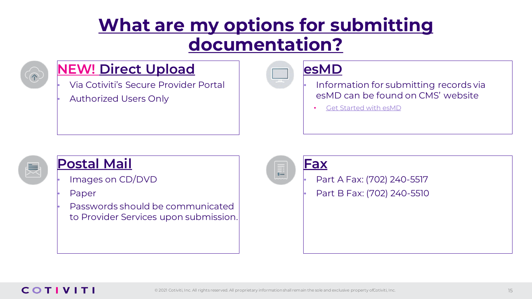### **What are my options for submitting documentation?**



### **NEW! Direct Upload**

• Via Cotiviti's Secure Provider Portal • Authorized Users Only



• Information for submitting records via esMD can be found on CMS' website

• [Get Started with esMD](https://www.cms.gov/Research-Statistics-Data-and-Systems/Computer-Data-and-Systems/ESMD)



### **Postal Mail**

• Images on CD/DVD

• Paper

• Passwords should be communicated to Provider Services upon submission.

#### **Fax**

• Part A Fax: (702) 240-5517

• Part B Fax: (702) 240-5510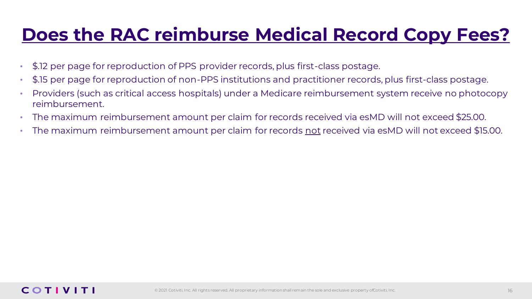### **Does the RAC reimburse Medical Record Copy Fees?**

- \$.12 per page for reproduction of PPS provider records, plus first-class postage.
- \$.15 per page for reproduction of non-PPS institutions and practitioner records, plus first-class postage.
- Providers (such as critical access hospitals) under a Medicare reimbursement system receive no photocopy reimbursement.
- The maximum reimbursement amount per claim for records received via esMD will not exceed \$25.00.
- The maximum reimbursement amount per claim for records not received via esMD will not exceed \$15.00.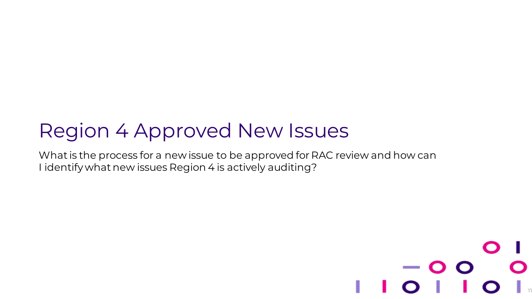## Region 4 Approved New Issues

What is the process for a new issue to be approved for RAC review and how can I identify what new issues Region 4 is actively auditing?

### $\sim 10^{11}$  m  $^{-1}$ © 2021 Cotiviti, Inc. All rights reserved. All proprietary information shall remain the sole and exclusive property of Cotiviti, Inc. 17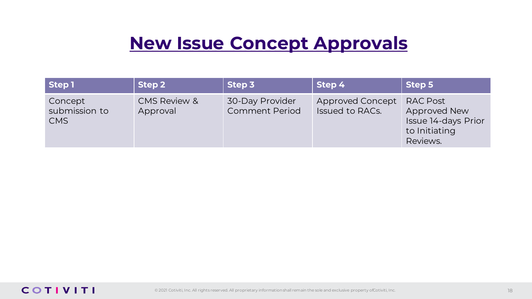### **New Issue Concept Approvals**

| Step 1                                       | Step 2                              | Step 3                                   | Step 4                                     | Step 5                                                                                     |
|----------------------------------------------|-------------------------------------|------------------------------------------|--------------------------------------------|--------------------------------------------------------------------------------------------|
| Concept<br>submission to<br>CMS <sup>1</sup> | <b>CMS Review &amp;</b><br>Approval | 30-Day Provider<br><b>Comment Period</b> | Approved Concept<br><b>Issued to RACs.</b> | <b>RAC Post</b><br><b>Approved New</b><br>Issue 14-days Prior<br>to Initiating<br>Reviews. |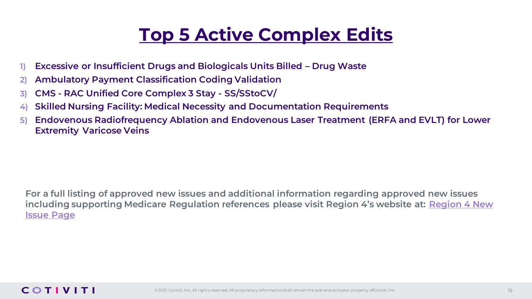### **Top 5 Active Complex Edits**

- **1) Excessive or Insufficient Drugs and Biologicals Units Billed – Drug Waste**
- **2) Ambulatory Payment Classification Coding Validation**
- **3) CMS - RAC Unified Core Complex 3 Stay - SS/SStoCV/**
- **4) Skilled Nursing Facility: Medical Necessity and Documentation Requirements**
- **5) Endovenous Radiofrequency Ablation and Endovenous Laser Treatment (ERFA and EVLT) for Lower Extremity Varicose Veins**

**For a full listing of approved new issues and additional information regarding approved new issues [including supporting Medicare Regulation references please visit Region 4's website at:](https://racinfo.hms.com/Public1/NewIssues.aspx) Region 4 New Issue Page**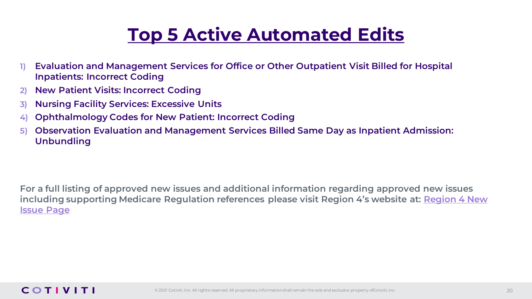### **Top 5 Active Automated Edits**

- **1) Evaluation and Management Services for Office or Other Outpatient Visit Billed for Hospital Inpatients: Incorrect Coding**
- **2) New Patient Visits: Incorrect Coding**
- **3) Nursing Facility Services: Excessive Units**
- **4) Ophthalmology Codes for New Patient: Incorrect Coding**
- **5) Observation Evaluation and Management Services Billed Same Day as Inpatient Admission: Unbundling**

**For a full listing of approved new issues and additional information regarding approved new issues [including supporting Medicare Regulation references please visit Region 4's website at:](https://racinfo.hms.com/Public1/NewIssues.aspx) Region 4 New Issue Page**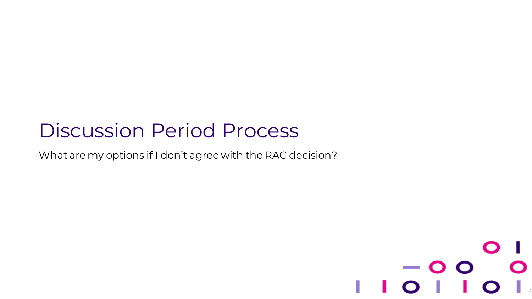## Discussion Period Process

What are my options if I don't agree with the RAC decision?

#### $\mathbf O$ — O O  $\overline{O}$  | © 2021 Cotiviti, Inc. All rights reserved. All proprietary information shall remain the sole and exclusive property of Cotiviti, Inc. 21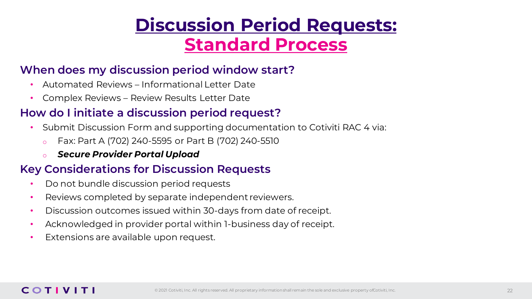### **Discussion Period Requests: Standard Process**

### **When does my discussion period window start?**

- Automated Reviews Informational Letter Date
- Complex Reviews Review Results Letter Date

### **How do I initiate a discussion period request?**

- Submit Discussion Form and supporting documentation to Cotiviti RAC 4 via:
	- o Fax: Part A (702) 240-5595 or Part B (702) 240-5510
	- o *Secure Provider Portal Upload*

### **Key Considerations for Discussion Requests**

- Do not bundle discussion period requests
- Reviews completed by separate independent reviewers.
- Discussion outcomes issued within 30-days from date of receipt.
- Acknowledged in provider portal within 1-business day of receipt.
- Extensions are available upon request.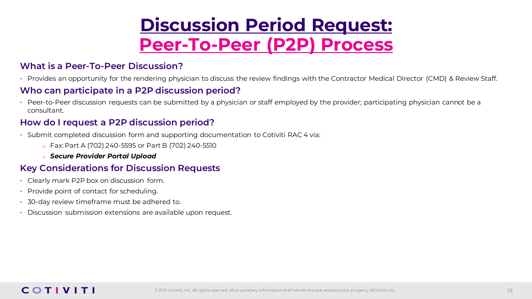### **Discussion Period Request: Peer-To-Peer (P2P) Process**

#### **What is a Peer-To-Peer Discussion?**

• Provides an opportunity for the rendering physician to discuss the review findings with the Contractor Medical Director (CMD) & Review Staff.

#### **Who can participate in a P2P discussion period?**

• Peer-to-Peer discussion requests can be submitted by a physician or staff employed by the provider; participating physician cannot be a consultant.

#### **How do I request a P2P discussion period?**

- Submit completed discussion form and supporting documentation to Cotiviti RAC 4 via:
	- o Fax: Part A (702) 240-5595 or Part B (702) 240-5510
	- o *Secure Provider Portal Upload*

#### **Key Considerations for Discussion Requests**

- Clearly mark P2P box on discussion form.
- Provide point of contact for scheduling.
- 30-day review timeframe must be adhered to.
- Discussion submission extensions are available upon request.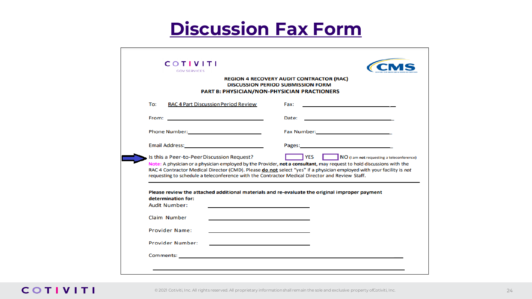### **Discussion Fax Form**

| <b>COTIVITI</b><br><b>GOV SERVICES</b>                                                                                                                                                                                               |                                                                                                                                                                                                                                                                                                           |
|--------------------------------------------------------------------------------------------------------------------------------------------------------------------------------------------------------------------------------------|-----------------------------------------------------------------------------------------------------------------------------------------------------------------------------------------------------------------------------------------------------------------------------------------------------------|
|                                                                                                                                                                                                                                      | <b>REGION 4 RECOVERY AUDIT CONTRACTOR (RAC)</b><br><b>DISCUSSION PERIOD SUBMISSION FORM</b><br>PART B: PHYSICIAN/NON-PHYSICIAN PRACTIONERS                                                                                                                                                                |
| To:<br><b>RAC 4 Part Discussion Period Review</b>                                                                                                                                                                                    | Fax:<br><u> 1989 - Johann Stein, mars an de Brazilia (b. 1989)</u>                                                                                                                                                                                                                                        |
| From: <u>Contract Contract Contract Contract Contract Contract Contract Contract Contract Contract Contract Contract Contract Contract Contract Contract Contract Contract Contract Contract Contract Contract Contract Contract</u> | Date:<br>the control of the control of the control of the control of the control of                                                                                                                                                                                                                       |
|                                                                                                                                                                                                                                      | Fax Number: 2008 2012 2022 2023                                                                                                                                                                                                                                                                           |
| Email Address: No. 1996. The Contract of the Contract of the Contract of the Contract of the Contract of the Contract of the Contract of the Contract of the Contract of the Contract of the Contract of the Contract of the C       |                                                                                                                                                                                                                                                                                                           |
|                                                                                                                                                                                                                                      |                                                                                                                                                                                                                                                                                                           |
| Is this a Peer-to-Peer Discussion Request?<br>requesting to schedule a teleconference with the Contractor Medical Director and Review Staff.                                                                                         | <b>TYES</b><br>NO (I am not requesting a teleconference)<br>Note: A physician or a physician employed by the Provider, not a consultant, may request to hold discussions with the<br>RAC 4 Contractor Medical Director (CMD). Please donot select "yes" if a physician employed with your facility is not |
| determination for:<br><b>Audit Number:</b>                                                                                                                                                                                           | Please review the attached additional materials and re-evaluate the original improper payment                                                                                                                                                                                                             |
| Claim Number                                                                                                                                                                                                                         |                                                                                                                                                                                                                                                                                                           |
| <b>Provider Name:</b>                                                                                                                                                                                                                |                                                                                                                                                                                                                                                                                                           |
| <b>Provider Number:</b>                                                                                                                                                                                                              |                                                                                                                                                                                                                                                                                                           |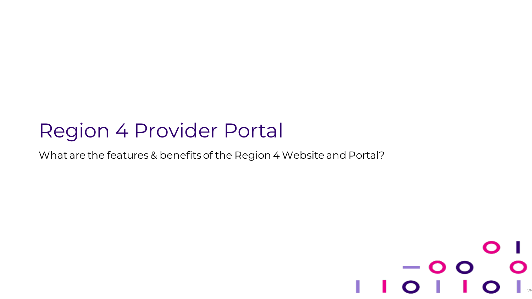## Region 4 Provider Portal

What are the features & benefits of the Region 4 Website and Portal?

### $\bullet$  $-$  O O © 2021 Cotiviti, Inc. All rights reserved. All proprietary information shall remain the sole and exclusive property of Cotiviti, Inc. 25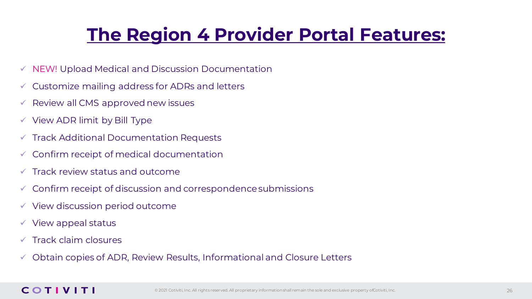## **The Region 4 Provider Portal Features:**

- ✓ NEW! Upload Medical and Discussion Documentation
- ✓ Customize mailing address for ADRs and letters
- Review all CMS approved new issues
- $\checkmark$  View ADR limit by Bill Type
- Track Additional Documentation Requests
- ✓ Confirm receipt of medical documentation
- Track review status and outcome
- Confirm receipt of discussion and correspondence submissions
- $\checkmark$  View discussion period outcome
- $\checkmark$  View appeal status
- $\sqrt{ }$  Track claim closures
- ✓ Obtain copies of ADR, Review Results, Informational and Closure Letters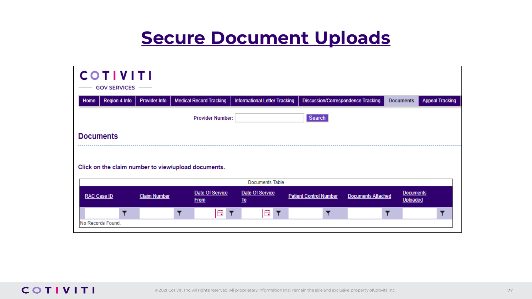### **Secure Document Uploads**

| <b>COTIVITI</b>                                     | <b>GOV SERVICES</b> |                      |                                |                  |                                      |                               |                                           |                                     |                        |
|-----------------------------------------------------|---------------------|----------------------|--------------------------------|------------------|--------------------------------------|-------------------------------|-------------------------------------------|-------------------------------------|------------------------|
| Home                                                | Region 4 Info       | <b>Provider Info</b> | <b>Medical Record Tracking</b> |                  | <b>Informational Letter Tracking</b> |                               | <b>Discussion/Correspondence Tracking</b> | <b>Documents</b>                    | <b>Appeal Tracking</b> |
|                                                     |                     |                      | <b>Provider Number:</b>        |                  |                                      | Search                        |                                           |                                     |                        |
| <b>Documents</b>                                    |                     |                      |                                |                  |                                      |                               |                                           |                                     |                        |
| Click on the claim number to view/upload documents. |                     |                      |                                |                  |                                      |                               |                                           |                                     |                        |
|                                                     |                     |                      |                                |                  | <b>Documents Table</b>               |                               |                                           |                                     |                        |
| RAC Case ID                                         |                     | <b>Claim Number</b>  | Date Of Service<br><b>From</b> | $\underline{I0}$ | Date Of Service                      | <b>Patient Control Number</b> | <b>Documents Attached</b>                 | <b>Documents</b><br><b>Uploaded</b> |                        |
|                                                     |                     |                      |                                |                  |                                      |                               |                                           |                                     |                        |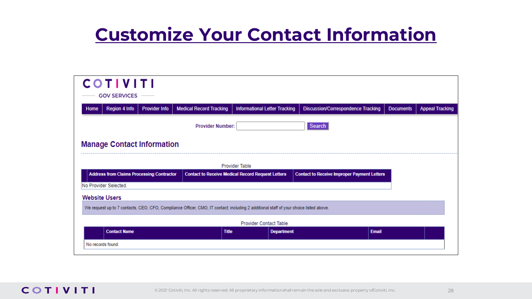### **Customize Your Contact Information**

| <b>COTIVITI</b><br><b>GOV SERVICES</b>                                                                                                |                                |                                                          |                                                    |                  |                        |  |  |  |
|---------------------------------------------------------------------------------------------------------------------------------------|--------------------------------|----------------------------------------------------------|----------------------------------------------------|------------------|------------------------|--|--|--|
| Region 4 Info<br><b>Provider Info</b><br>Home                                                                                         | <b>Medical Record Tracking</b> | <b>Informational Letter Tracking</b>                     | <b>Discussion/Correspondence Tracking</b>          | <b>Documents</b> | <b>Appeal Tracking</b> |  |  |  |
|                                                                                                                                       | <b>Provider Number:</b>        |                                                          | Search                                             |                  |                        |  |  |  |
| <b>Manage Contact Information</b>                                                                                                     |                                |                                                          |                                                    |                  |                        |  |  |  |
|                                                                                                                                       | Provider Table                 |                                                          |                                                    |                  |                        |  |  |  |
| <b>Address from Claims Processing Contractor</b>                                                                                      |                                | <b>Contact to Receive Medical Record Request Letters</b> | <b>Contact to Receive Improper Payment Letters</b> |                  |                        |  |  |  |
| No Provider Selected.                                                                                                                 |                                |                                                          |                                                    |                  |                        |  |  |  |
| <b>Website Users</b>                                                                                                                  |                                |                                                          |                                                    |                  |                        |  |  |  |
| We request up to 7 contacts, CEO, CFO, Compliance Officer, CMO, IT contact; including 2 additional staff of your choice listed above. |                                |                                                          |                                                    |                  |                        |  |  |  |
| <b>Provider Contact Table</b>                                                                                                         |                                |                                                          |                                                    |                  |                        |  |  |  |
| <b>Contact Name</b>                                                                                                                   | <b>Title</b>                   | <b>Department</b>                                        | <b>Email</b>                                       |                  |                        |  |  |  |
| No records found.                                                                                                                     |                                |                                                          |                                                    |                  |                        |  |  |  |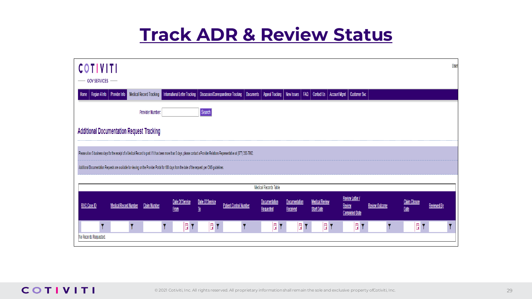### **Track ADR & Review Status**

| <b>COTIVITI</b><br><b>GOV SERVICES</b>                                                                                                                                           |                                |                                      |                                                                                                    |                                   |                                                 |                                                                                                                |                       |                              | User               |
|----------------------------------------------------------------------------------------------------------------------------------------------------------------------------------|--------------------------------|--------------------------------------|----------------------------------------------------------------------------------------------------|-----------------------------------|-------------------------------------------------|----------------------------------------------------------------------------------------------------------------|-----------------------|------------------------------|--------------------|
| <b>Provider Info</b><br>Region 4 Info<br>Home                                                                                                                                    | <b>Medical Record Tracking</b> | <b>Informational Letter Tracking</b> | Discussion/Correspondence Tracking                                                                 | <b>Documents</b>                  | Appeal Tracking   New Issues   FAQ   Contact Us | Account Mgmt   Customer Svc                                                                                    |                       |                              |                    |
|                                                                                                                                                                                  | <b>Provider Number:</b>        |                                      | Search                                                                                             |                                   |                                                 |                                                                                                                |                       |                              |                    |
| <b>Additional Documentation Request Tracking</b>                                                                                                                                 |                                |                                      |                                                                                                    |                                   |                                                 |                                                                                                                |                       |                              |                    |
| Please allow 5 business days for the receipt of a Medical Record to post. If it has been more than 5 days, please contact a Provider Relations Representative at (877) 350-7992. |                                |                                      |                                                                                                    |                                   |                                                 |                                                                                                                |                       |                              |                    |
| Additional Documentation Requests are available for viewing on the Provider Portal for 180 days from the date of the request, per CMS guidelines.                                |                                |                                      |                                                                                                    |                                   |                                                 |                                                                                                                |                       |                              |                    |
|                                                                                                                                                                                  |                                |                                      |                                                                                                    | Medical Records Table             |                                                 |                                                                                                                |                       |                              |                    |
| RAC Case ID<br><b>Medical Record Number</b>                                                                                                                                      | <b>Claim Number</b>            | Date Of Service<br><b>From</b>       | Date Of Service<br><b>Patient Control Number</b><br>$\underline{\mathsf{I}}\underline{\mathsf{0}}$ | <b>Documentation</b><br>Requested | <b>Documentation</b><br><b>Received</b>         | <b>Review Letter /</b><br><b>Medical Review</b><br><b>Review</b><br><b>Start Date</b><br><b>Completed Date</b> | <b>Review Outcome</b> | <b>Claim Closure</b><br>Date | <b>Reviewed By</b> |
| No Records Requested.                                                                                                                                                            |                                | 間                                    | Ö<br>Y                                                                                             | 自)                                | ä,                                              | Ô<br>lä,<br>Y                                                                                                  |                       | Ë                            |                    |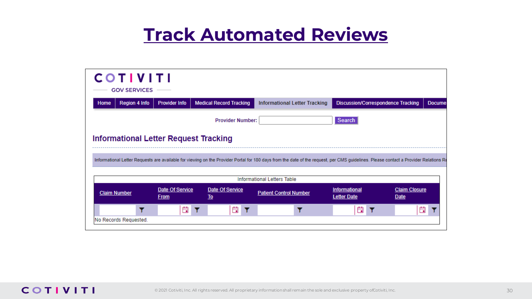### **Track Automated Reviews**

|                     | <b>COTIVITI</b><br><b>GOV SERVICES</b> |                                |                                              |                                                                                                                                                                                      |                                           |                              |  |
|---------------------|----------------------------------------|--------------------------------|----------------------------------------------|--------------------------------------------------------------------------------------------------------------------------------------------------------------------------------------|-------------------------------------------|------------------------------|--|
| Home                | <b>Region 4 Info</b>                   | <b>Provider Info</b>           | <b>Medical Record Tracking</b>               | <b>Informational Letter Tracking</b>                                                                                                                                                 | <b>Discussion/Correspondence Tracking</b> | <b>Docume</b>                |  |
|                     | Search<br><b>Provider Number:</b>      |                                |                                              |                                                                                                                                                                                      |                                           |                              |  |
|                     |                                        |                                | <b>Informational Letter Request Tracking</b> |                                                                                                                                                                                      |                                           |                              |  |
|                     |                                        |                                |                                              |                                                                                                                                                                                      |                                           |                              |  |
|                     |                                        |                                |                                              | Informational Letter Requests are available for viewing on the Provider Portal for 180 days from the date of the request, per CMS quidelines. Please contact a Provider Relations Re |                                           |                              |  |
|                     |                                        |                                |                                              | <b>Informational Letters Table</b>                                                                                                                                                   |                                           |                              |  |
| <b>Claim Number</b> |                                        | Date Of Service<br><b>From</b> | Date Of Service<br>$\underline{To}$          | <b>Patient Control Number</b>                                                                                                                                                        | Informational<br><b>Letter Date</b>       | <b>Claim Closure</b><br>Date |  |
|                     |                                        | 曲                              | ä                                            |                                                                                                                                                                                      | 曲                                         | 曲                            |  |
|                     | No Records Requested.                  |                                |                                              |                                                                                                                                                                                      |                                           |                              |  |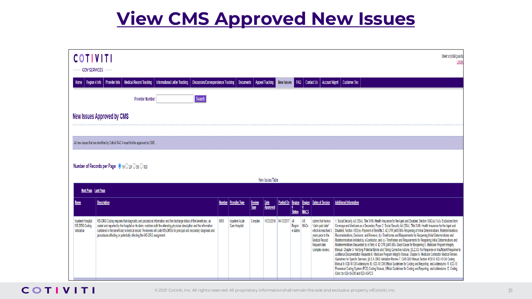### **View CMS Approved New Issues**

| <b>COTIVITI</b><br><b>GOV SERVICES</b>                          |                                                                                                                                                                                                                                                                                                                                                                                                                                            |      |                                         |                              |                        |                       |                           |                   |                                                                                                                                                     | User:crystal.quadar<br><b>Logot</b>                                                                                                                                                                                                                                                                                                                                                                                                                                                                                                                                                                                                                                                                                                                                                                                                                                                                                                                                                                                                                                                                                                                                                                                                                                                                                                                                                                                                 |
|-----------------------------------------------------------------|--------------------------------------------------------------------------------------------------------------------------------------------------------------------------------------------------------------------------------------------------------------------------------------------------------------------------------------------------------------------------------------------------------------------------------------------|------|-----------------------------------------|------------------------------|------------------------|-----------------------|---------------------------|-------------------|-----------------------------------------------------------------------------------------------------------------------------------------------------|-------------------------------------------------------------------------------------------------------------------------------------------------------------------------------------------------------------------------------------------------------------------------------------------------------------------------------------------------------------------------------------------------------------------------------------------------------------------------------------------------------------------------------------------------------------------------------------------------------------------------------------------------------------------------------------------------------------------------------------------------------------------------------------------------------------------------------------------------------------------------------------------------------------------------------------------------------------------------------------------------------------------------------------------------------------------------------------------------------------------------------------------------------------------------------------------------------------------------------------------------------------------------------------------------------------------------------------------------------------------------------------------------------------------------------------|
| Region 4 Info                                                   | <b>Medical Record Tracking</b><br><b>Discussion/Correspondence Tracking</b><br><b>Provider Info</b><br><b>Informational Letter Tracking</b>                                                                                                                                                                                                                                                                                                |      | Documents                               |                              | <b>Appeal Tracking</b> |                       |                           |                   |                                                                                                                                                     | New Issues   FAQ   Contact Us   Account Mgmt   Customer Svc                                                                                                                                                                                                                                                                                                                                                                                                                                                                                                                                                                                                                                                                                                                                                                                                                                                                                                                                                                                                                                                                                                                                                                                                                                                                                                                                                                         |
|                                                                 | Search<br><b>Provider Number:</b>                                                                                                                                                                                                                                                                                                                                                                                                          |      |                                         |                              |                        |                       |                           |                   |                                                                                                                                                     |                                                                                                                                                                                                                                                                                                                                                                                                                                                                                                                                                                                                                                                                                                                                                                                                                                                                                                                                                                                                                                                                                                                                                                                                                                                                                                                                                                                                                                     |
|                                                                 | New Issues Approved by CMS                                                                                                                                                                                                                                                                                                                                                                                                                 |      |                                         |                              |                        |                       |                           |                   |                                                                                                                                                     |                                                                                                                                                                                                                                                                                                                                                                                                                                                                                                                                                                                                                                                                                                                                                                                                                                                                                                                                                                                                                                                                                                                                                                                                                                                                                                                                                                                                                                     |
|                                                                 |                                                                                                                                                                                                                                                                                                                                                                                                                                            |      |                                         |                              |                        |                       |                           |                   |                                                                                                                                                     |                                                                                                                                                                                                                                                                                                                                                                                                                                                                                                                                                                                                                                                                                                                                                                                                                                                                                                                                                                                                                                                                                                                                                                                                                                                                                                                                                                                                                                     |
|                                                                 | All new issues that are identified by Cotiviti RAC 4 must first be approved by CMS.                                                                                                                                                                                                                                                                                                                                                        |      |                                         |                              |                        |                       |                           |                   |                                                                                                                                                     |                                                                                                                                                                                                                                                                                                                                                                                                                                                                                                                                                                                                                                                                                                                                                                                                                                                                                                                                                                                                                                                                                                                                                                                                                                                                                                                                                                                                                                     |
|                                                                 | <b>Number of Records per Page</b> $\bullet$ 10 $\circ$ 20 $\circ$ 50 $\circ$ 100                                                                                                                                                                                                                                                                                                                                                           |      |                                         |                              |                        |                       |                           |                   |                                                                                                                                                     |                                                                                                                                                                                                                                                                                                                                                                                                                                                                                                                                                                                                                                                                                                                                                                                                                                                                                                                                                                                                                                                                                                                                                                                                                                                                                                                                                                                                                                     |
|                                                                 |                                                                                                                                                                                                                                                                                                                                                                                                                                            |      |                                         |                              | New Issues Table       |                       |                           |                   |                                                                                                                                                     |                                                                                                                                                                                                                                                                                                                                                                                                                                                                                                                                                                                                                                                                                                                                                                                                                                                                                                                                                                                                                                                                                                                                                                                                                                                                                                                                                                                                                                     |
| Next Page Last Page                                             |                                                                                                                                                                                                                                                                                                                                                                                                                                            |      |                                         |                              |                        |                       |                           |                   |                                                                                                                                                     |                                                                                                                                                                                                                                                                                                                                                                                                                                                                                                                                                                                                                                                                                                                                                                                                                                                                                                                                                                                                                                                                                                                                                                                                                                                                                                                                                                                                                                     |
| <u>Name</u>                                                     | <b>Description</b>                                                                                                                                                                                                                                                                                                                                                                                                                         |      | <b>Number   Provider Type</b>           | <b>Review</b><br><b>Type</b> | $Date$<br>Approved     | Posted On Region      | <b>States</b>             | <b>MACS</b>       | <b>Region Dates of Service</b>                                                                                                                      | <b>Additional Information</b>                                                                                                                                                                                                                                                                                                                                                                                                                                                                                                                                                                                                                                                                                                                                                                                                                                                                                                                                                                                                                                                                                                                                                                                                                                                                                                                                                                                                       |
| <b>Inpatient Hospital</b><br><b>MS-DRG Coding</b><br>Validation | MS-DRG Coding requires that diagnostic and procedural information and the discharge status of the beneficiary, as<br>coded and reported by the hospital on its claim, matches both the attending physician description and the information<br>contained in the beneficiary's medical record. Reviewers will code MS-DRGs for principal and secondary diagnosis and<br>procedures affecting or potentially affecting the MS-DRG assignment. | 0001 | <b>Inpatient Acute</b><br>Care Hospital | Complex                      |                        | 11/23/2016 04/13/2017 | All<br>Region<br>4 states | AB<br><b>MACs</b> | claims that have a<br>"claim paid date"<br>which is less than 3<br>years prior to the<br><b>Medical Record</b><br>Request date<br>(complex review). | 1. Social Security Act (SSA), Title XVIII- Health Insurance for the Aged and Disabled, Section 1862(a)(1)(A)- Exclusions from<br>Coverage and Medicare as a Secondary Payer 2. Social Security Act (SSA), Title XVIII- Health Insurance for the Aged and<br>Disabled, Section 1833(e)- Payment of Benefits 3. 42 CFR §405.980- Reopening of Initial Determinations, Redeterminations,<br>Reconsiderations, Decisions, and Reviews, (b)- Timeframes and Requirements for Reopening Initial Determinations and<br>Redeterminations Initiated by a Contractor; and (c)- Timeframes and Requirements for Reopening Initial Determinations and<br>Redeterminations Requested by a Party 4. 42 CFR §405.986- Good Cause for Reopening 5. Medicare Program Integrity<br>Manual, Chapter 3- Verifying Potential Errors and Taking Corrective Actions, §3.2.3.8- No Response or Insufficient Response to<br>Additional Documentation Requests 6. Medicare Program Integrity Manual, Chapter 6- Medicare Contractor Medical Review<br>Guidelines for Specific Services, §6.5.3- DRG Validation Review 7. CMS QIO Manual Section 4130 8. ICD-10 CM Coding<br>Manual 9. ICD-10 CM Addendums 10. ICD-10 CM Official Guidelines for Coding and Reporting, and Addendums 11. ICD-10<br>Procedural Coding System (PCS) Coding Manual, Official Guidelines for Coding and Reporting, and Addendums 12. Coding<br>Clinic for ICD-10-CM and ICD-10-PCS |

#### **COTIVITI**

© 2021 Cotiviti, Inc. All rights reserved. All proprietary information shall remain the sole and exclusive property of Cotiviti, Inc.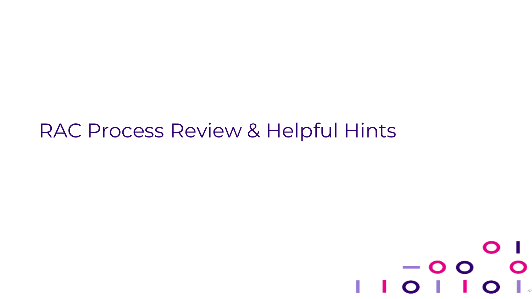### RAC Process Review & Helpful Hints

#### O  $-$  O O  $\mathbf O$  $\begin{array}{c} \begin{array}{c} \end{array} \\ \begin{array}{c} \end{array} \end{array}$ © 2021 Cotiviti, Inc. All rights reserved. All proprietary information shall remain the sole and exclusive property of Cotiviti, Inc.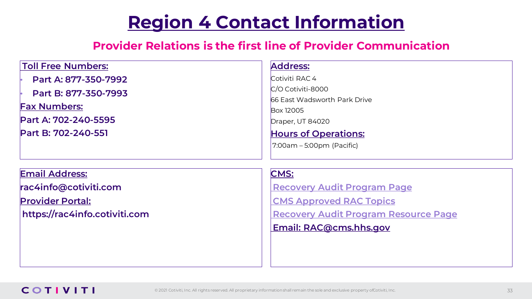### **Region 4 Contact Information**

### **Provider Relations is the first line of Provider Communication**

| <b>Toll Free Numbers:</b> | Address:                      |
|---------------------------|-------------------------------|
| Part A: 877-350-7992      | Cotiviti RAC 4                |
| Part B: 877-350-7993      | C/O Cotiviti-8000             |
| <b>Fax Numbers:</b>       | 66 East Wadsworth Park Drive  |
|                           | <b>Box 12005</b>              |
| Part A: 702-240-5595      | Draper, UT 84020              |
| Part B: 702-240-551       | <b>Hours of Operations:</b>   |
|                           | $ 7:00$ am – 5:00pm (Pacific) |
|                           |                               |
|                           |                               |
| <b>Email Address:</b>     | <b>CMS:</b>                   |

**rac4info@cotiviti.com**

#### **Provider Portal: https://rac4info.cotiviti.com**

**[Recovery Audit Program Page](https://www.cms.gov/Research-Statistics-Data-and-Systems/Monitoring-Programs/Medicare-FFS-Compliance-Programs/Recovery-Audit-Program) [CMS Approved RAC Topics](https://www.cms.gov/Research-Statistics-Data-and-Systems/Monitoring-Programs/Medicare-FFS-Compliance-Programs/Recovery-Audit-Program/Approved-RAC-Topics) [Recovery Audit Program Resource Page](https://www.cms.gov/Research-Statistics-Data-and-Systems/Monitoring-Programs/Medicare-FFS-Compliance-Programs/Recovery-Audit-Program/Resources) Email: RAC@cms.hhs.gov**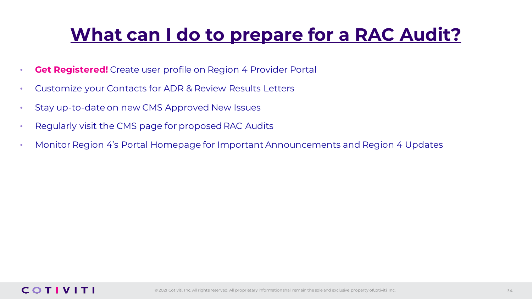### **What can I do to prepare for a RAC Audit?**

- **Get Registered!** Create user profile on Region 4 Provider Portal
- Customize your Contacts for ADR & Review Results Letters
- Stay up-to-date on new CMS Approved New Issues
- Regularly visit the CMS page for proposed RAC Audits
- Monitor Region 4's Portal Homepage for Important Announcements and Region 4 Updates